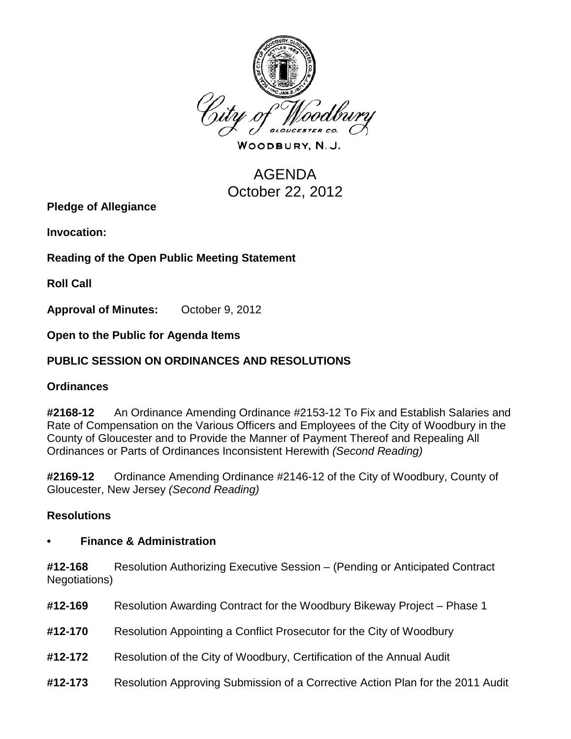

WOODBURY, N.J.

# **AGENDA** October 22, 2012

**Pledge of Allegiance**

**Invocation:** 

**Reading of the Open Public Meeting Statement**

**Roll Call**

**Approval of Minutes:** October 9, 2012

**Open to the Public for Agenda Items**

## **PUBLIC SESSION ON ORDINANCES AND RESOLUTIONS**

#### **Ordinances**

**#2168-12** An Ordinance Amending Ordinance #2153-12 To Fix and Establish Salaries and Rate of Compensation on the Various Officers and Employees of the City of Woodbury in the County of Gloucester and to Provide the Manner of Payment Thereof and Repealing All Ordinances or Parts of Ordinances Inconsistent Herewith *(Second Reading)*

**#2169-12** Ordinance Amending Ordinance #2146-12 of the City of Woodbury, County of Gloucester, New Jersey *(Second Reading)*

#### **Resolutions**

#### **• Finance & Administration**

**#12-168** Resolution Authorizing Executive Session – (Pending or Anticipated Contract Negotiations)

| #12-169 | Resolution Awarding Contract for the Woodbury Bikeway Project – Phase 1        |
|---------|--------------------------------------------------------------------------------|
| #12-170 | Resolution Appointing a Conflict Prosecutor for the City of Woodbury           |
| #12-172 | Resolution of the City of Woodbury, Certification of the Annual Audit          |
| #12-173 | Resolution Approving Submission of a Corrective Action Plan for the 2011 Audit |